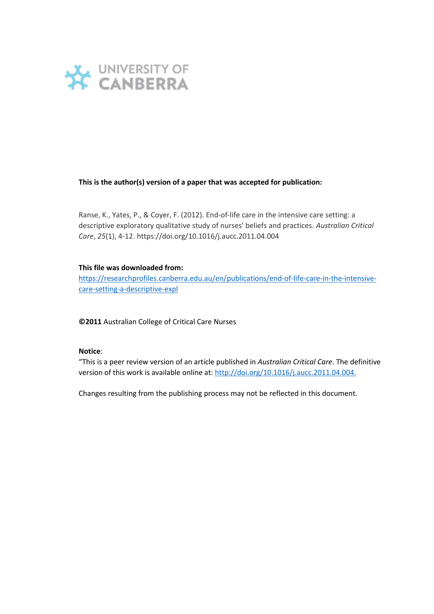

# **This is the author(s) version of a paper that was accepted for publication:**

Ranse, K., Yates, P., & Coyer, F. (2012). End-of-life care in the intensive care setting: a descriptive exploratory qualitative study of nurses' beliefs and practices. *Australian Critical Care*, *25*(1), 4-12. https://doi.org/10.1016/j.aucc.2011.04.004

# **This file was downloaded from:**

[https://researchprofiles.canberra.edu.au/en/publications/end-of-life-care-in-the-intensive](https://researchprofiles.canberra.edu.au/en/publications/end-of-life-care-in-the-intensive-care-setting-a-descriptive-expl)[care-setting-a-descriptive-expl](https://researchprofiles.canberra.edu.au/en/publications/end-of-life-care-in-the-intensive-care-setting-a-descriptive-expl)

**©2011** Australian College of Critical Care Nurses

# **Notice**:

"This is a peer review version of an article published in *Australian Critical Care*. The definitive version of this work is available online at: [http://doi.org/10.1016/j.aucc.2011.04.004.](http://doi.org/10.1057/ap.2012.15)

Changes resulting from the publishing process may not be reflected in this document.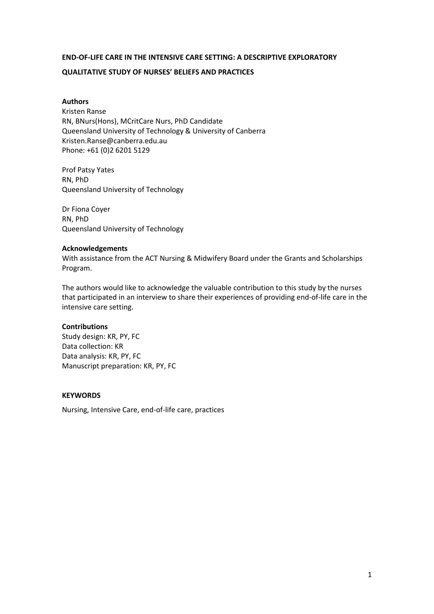# **END-OF-LIFE CARE IN THE INTENSIVE CARE SETTING: A DESCRIPTIVE EXPLORATORY**

# **QUALITATIVE STUDY OF NURSES' BELIEFS AND PRACTICES**

**Authors** Kristen Ranse RN, BNurs(Hons), MCritCare Nurs, PhD Candidate Queensland University of Technology & University of Canberra Kristen.Ranse@canberra.edu.au Phone: +61 (0)2 6201 5129

Prof Patsy Yates RN, PhD Queensland University of Technology

Dr Fiona Coyer RN, PhD Queensland University of Technology

### **Acknowledgements**

With assistance from the ACT Nursing & Midwifery Board under the Grants and Scholarships Program.

The authors would like to acknowledge the valuable contribution to this study by the nurses that participated in an interview to share their experiences of providing end-of-life care in the intensive care setting.

### **Contributions**

Study design: KR, PY, FC Data collection: KR Data analysis: KR, PY, FC Manuscript preparation: KR, PY, FC

# **KEYWORDS**

Nursing, Intensive Care, end-of-life care, practices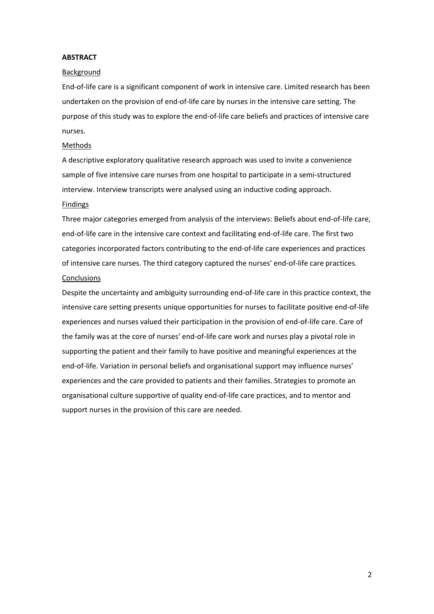# **ABSTRACT**

#### Background

End-of-life care is a significant component of work in intensive care. Limited research has been undertaken on the provision of end-of-life care by nurses in the intensive care setting. The purpose of this study was to explore the end-of-life care beliefs and practices of intensive care nurses.

#### Methods

A descriptive exploratory qualitative research approach was used to invite a convenience sample of five intensive care nurses from one hospital to participate in a semi-structured interview. Interview transcripts were analysed using an inductive coding approach.

# Findings

Three major categories emerged from analysis of the interviews: Beliefs about end-of-life care, end-of-life care in the intensive care context and facilitating end-of-life care. The first two categories incorporated factors contributing to the end-of-life care experiences and practices of intensive care nurses. The third category captured the nurses' end-of-life care practices. **Conclusions** 

Despite the uncertainty and ambiguity surrounding end-of-life care in this practice context, the intensive care setting presents unique opportunities for nurses to facilitate positive end-of-life experiences and nurses valued their participation in the provision of end-of-life care. Care of the family was at the core of nurses' end-of-life care work and nurses play a pivotal role in supporting the patient and their family to have positive and meaningful experiences at the end-of-life. Variation in personal beliefs and organisational support may influence nurses' experiences and the care provided to patients and their families. Strategies to promote an organisational culture supportive of quality end-of-life care practices, and to mentor and support nurses in the provision of this care are needed.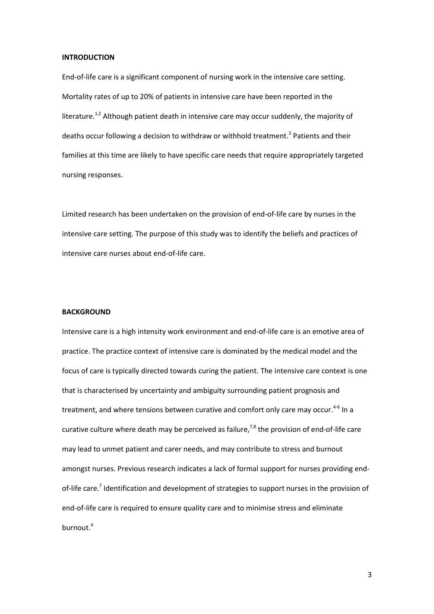#### **INTRODUCTION**

End-of-life care is a significant component of nursing work in the intensive care setting. Mortality rates of up to 20% of patients in intensive care have been reported in the literature.<sup>1,2</sup> Although patient death in intensive care may occur suddenly, the majority of deaths occur following a decision to withdraw or withhold treatment. 3 Patients and their families at this time are likely to have specific care needs that require appropriately targeted nursing responses.

Limited research has been undertaken on the provision of end-of-life care by nurses in the intensive care setting. The purpose of this study was to identify the beliefs and practices of intensive care nurses about end-of-life care.

#### **BACKGROUND**

Intensive care is a high intensity work environment and end-of-life care is an emotive area of practice. The practice context of intensive care is dominated by the medical model and the focus of care is typically directed towards curing the patient. The intensive care context is one that is characterised by uncertainty and ambiguity surrounding patient prognosis and treatment, and where tensions between curative and comfort only care may occur.<sup>4-6</sup> In a curative culture where death may be perceived as failure,<sup>7,8</sup> the provision of end-of-life care may lead to unmet patient and carer needs, and may contribute to stress and burnout amongst nurses. Previous research indicates a lack of formal support for nurses providing endof-life care.<sup>7</sup> Identification and development of strategies to support nurses in the provision of end-of-life care is required to ensure quality care and to minimise stress and eliminate burnout.<sup>4</sup>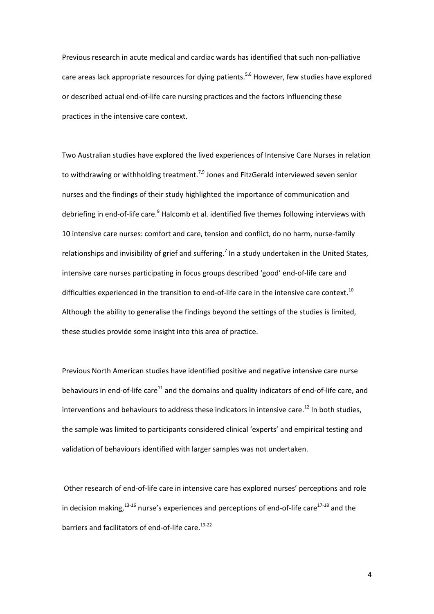Previous research in acute medical and cardiac wards has identified that such non-palliative care areas lack appropriate resources for dying patients.<sup>5,6</sup> However, few studies have explored or described actual end-of-life care nursing practices and the factors influencing these practices in the intensive care context.

Two Australian studies have explored the lived experiences of Intensive Care Nurses in relation to withdrawing or withholding treatment.<sup>7,9</sup> Jones and FitzGerald interviewed seven senior nurses and the findings of their study highlighted the importance of communication and debriefing in end-of-life care.<sup>9</sup> Halcomb et al. identified five themes following interviews with 10 intensive care nurses: comfort and care, tension and conflict, do no harm, nurse-family relationships and invisibility of grief and suffering.<sup>7</sup> In a study undertaken in the United States, intensive care nurses participating in focus groups described 'good' end-of-life care and difficulties experienced in the transition to end-of-life care in the intensive care context.<sup>10</sup> Although the ability to generalise the findings beyond the settings of the studies is limited, these studies provide some insight into this area of practice.

Previous North American studies have identified positive and negative intensive care nurse behaviours in end-of-life care $^{11}$  and the domains and quality indicators of end-of-life care, and interventions and behaviours to address these indicators in intensive care.<sup>12</sup> In both studies, the sample was limited to participants considered clinical 'experts' and empirical testing and validation of behaviours identified with larger samples was not undertaken.

Other research of end-of-life care in intensive care has explored nurses' perceptions and role in decision making,  $13-16$  nurse's experiences and perceptions of end-of-life care $17-18$  and the barriers and facilitators of end-of-life care.<sup>19-22</sup>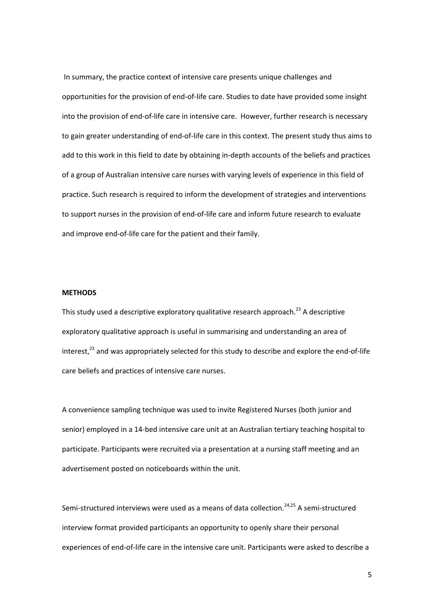In summary, the practice context of intensive care presents unique challenges and opportunities for the provision of end-of-life care. Studies to date have provided some insight into the provision of end-of-life care in intensive care. However, further research is necessary to gain greater understanding of end-of-life care in this context. The present study thus aims to add to this work in this field to date by obtaining in-depth accounts of the beliefs and practices of a group of Australian intensive care nurses with varying levels of experience in this field of practice. Such research is required to inform the development of strategies and interventions to support nurses in the provision of end-of-life care and inform future research to evaluate and improve end-of-life care for the patient and their family.

### **METHODS**

This study used a descriptive exploratory qualitative research approach.<sup>23</sup> A descriptive exploratory qualitative approach is useful in summarising and understanding an area of interest, $^{23}$  and was appropriately selected for this study to describe and explore the end-of-life care beliefs and practices of intensive care nurses.

A convenience sampling technique was used to invite Registered Nurses (both junior and senior) employed in a 14-bed intensive care unit at an Australian tertiary teaching hospital to participate. Participants were recruited via a presentation at a nursing staff meeting and an advertisement posted on noticeboards within the unit.

Semi-structured interviews were used as a means of data collection.<sup>24,25</sup> A semi-structured interview format provided participants an opportunity to openly share their personal experiences of end-of-life care in the intensive care unit. Participants were asked to describe a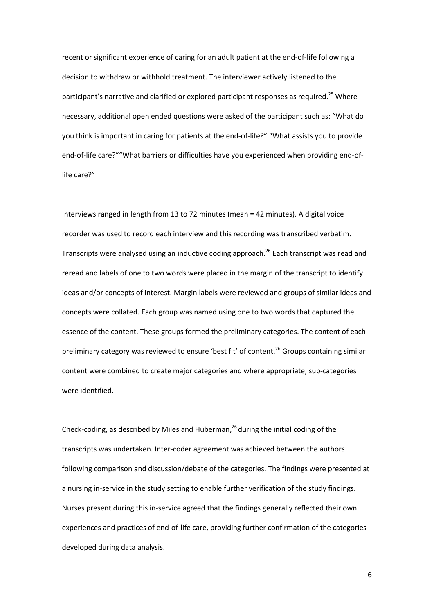recent or significant experience of caring for an adult patient at the end-of-life following a decision to withdraw or withhold treatment. The interviewer actively listened to the participant's narrative and clarified or explored participant responses as required.<sup>25</sup> Where necessary, additional open ended questions were asked of the participant such as: "What do you think is important in caring for patients at the end-of-life?" "What assists you to provide end-of-life care?""What barriers or difficulties have you experienced when providing end-oflife care?"

Interviews ranged in length from 13 to 72 minutes (mean = 42 minutes). A digital voice recorder was used to record each interview and this recording was transcribed verbatim. Transcripts were analysed using an inductive coding approach.<sup>26</sup> Each transcript was read and reread and labels of one to two words were placed in the margin of the transcript to identify ideas and/or concepts of interest. Margin labels were reviewed and groups of similar ideas and concepts were collated. Each group was named using one to two words that captured the essence of the content. These groups formed the preliminary categories. The content of each preliminary category was reviewed to ensure 'best fit' of content.<sup>26</sup> Groups containing similar content were combined to create major categories and where appropriate, sub-categories were identified.

Check-coding, as described by Miles and Huberman, 26 during the initial coding of the transcripts was undertaken. Inter-coder agreement was achieved between the authors following comparison and discussion/debate of the categories. The findings were presented at a nursing in-service in the study setting to enable further verification of the study findings. Nurses present during this in-service agreed that the findings generally reflected their own experiences and practices of end-of-life care, providing further confirmation of the categories developed during data analysis.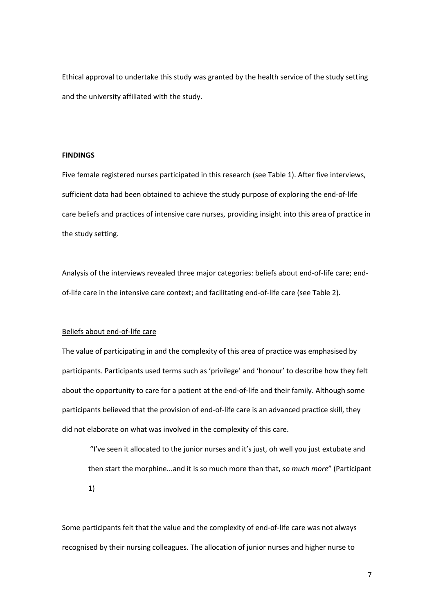Ethical approval to undertake this study was granted by the health service of the study setting and the university affiliated with the study.

# **FINDINGS**

Five female registered nurses participated in this research (see Table 1). After five interviews, sufficient data had been obtained to achieve the study purpose of exploring the end-of-life care beliefs and practices of intensive care nurses, providing insight into this area of practice in the study setting.

Analysis of the interviews revealed three major categories: beliefs about end-of-life care; endof-life care in the intensive care context; and facilitating end-of-life care (see Table 2).

### Beliefs about end-of-life care

The value of participating in and the complexity of this area of practice was emphasised by participants. Participants used terms such as 'privilege' and 'honour' to describe how they felt about the opportunity to care for a patient at the end-of-life and their family. Although some participants believed that the provision of end-of-life care is an advanced practice skill, they did not elaborate on what was involved in the complexity of this care.

"I've seen it allocated to the junior nurses and it's just, oh well you just extubate and then start the morphine...and it is so much more than that, *so much more*" (Participant 1)

Some participants felt that the value and the complexity of end-of-life care was not always recognised by their nursing colleagues. The allocation of junior nurses and higher nurse to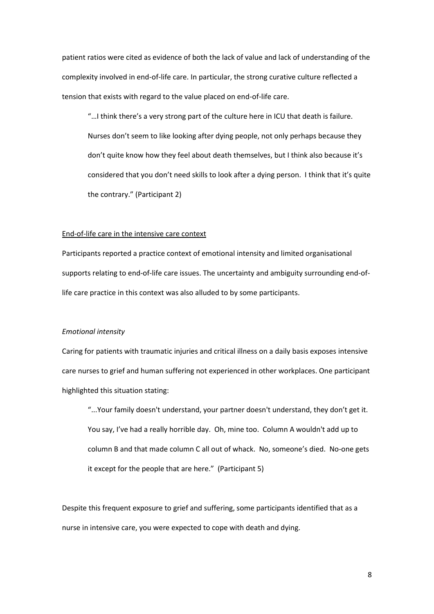patient ratios were cited as evidence of both the lack of value and lack of understanding of the complexity involved in end-of-life care. In particular, the strong curative culture reflected a tension that exists with regard to the value placed on end-of-life care.

"…I think there's a very strong part of the culture here in ICU that death is failure. Nurses don't seem to like looking after dying people, not only perhaps because they don't quite know how they feel about death themselves, but I think also because it's considered that you don't need skills to look after a dying person. I think that it's quite the contrary." (Participant 2)

#### End-of-life care in the intensive care context

Participants reported a practice context of emotional intensity and limited organisational supports relating to end-of-life care issues. The uncertainty and ambiguity surrounding end-oflife care practice in this context was also alluded to by some participants.

### *Emotional intensity*

Caring for patients with traumatic injuries and critical illness on a daily basis exposes intensive care nurses to grief and human suffering not experienced in other workplaces. One participant highlighted this situation stating:

"...Your family doesn't understand, your partner doesn't understand, they don't get it. You say, I've had a really horrible day. Oh, mine too. Column A wouldn't add up to column B and that made column C all out of whack. No, someone's died. No-one gets it except for the people that are here." (Participant 5)

Despite this frequent exposure to grief and suffering, some participants identified that as a nurse in intensive care, you were expected to cope with death and dying.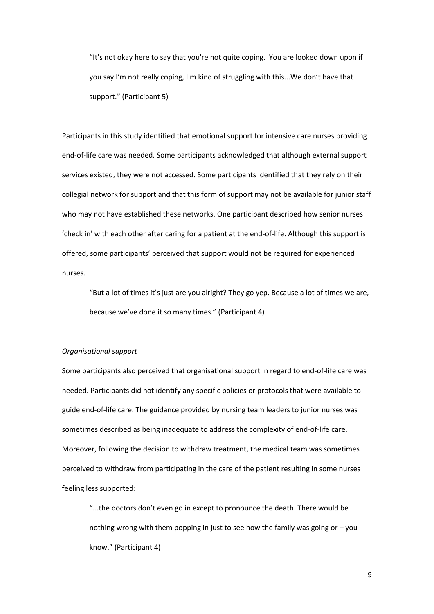"It's not okay here to say that you're not quite coping. You are looked down upon if you say I'm not really coping, I'm kind of struggling with this...We don't have that support." (Participant 5)

Participants in this study identified that emotional support for intensive care nurses providing end-of-life care was needed. Some participants acknowledged that although external support services existed, they were not accessed. Some participants identified that they rely on their collegial network for support and that this form of support may not be available for junior staff who may not have established these networks. One participant described how senior nurses 'check in' with each other after caring for a patient at the end-of-life. Although this support is offered, some participants' perceived that support would not be required for experienced nurses.

"But a lot of times it's just are you alright? They go yep. Because a lot of times we are, because we've done it so many times." (Participant 4)

#### *Organisational support*

Some participants also perceived that organisational support in regard to end-of-life care was needed. Participants did not identify any specific policies or protocols that were available to guide end-of-life care. The guidance provided by nursing team leaders to junior nurses was sometimes described as being inadequate to address the complexity of end-of-life care. Moreover, following the decision to withdraw treatment, the medical team was sometimes perceived to withdraw from participating in the care of the patient resulting in some nurses feeling less supported:

"...the doctors don't even go in except to pronounce the death. There would be nothing wrong with them popping in just to see how the family was going or – you know." (Participant 4)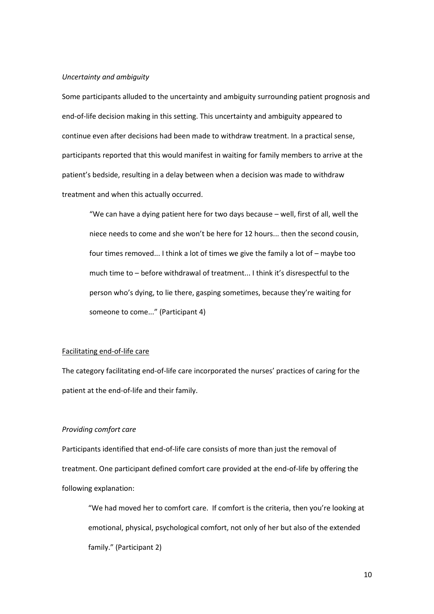### *Uncertainty and ambiguity*

Some participants alluded to the uncertainty and ambiguity surrounding patient prognosis and end-of-life decision making in this setting. This uncertainty and ambiguity appeared to continue even after decisions had been made to withdraw treatment. In a practical sense, participants reported that this would manifest in waiting for family members to arrive at the patient's bedside, resulting in a delay between when a decision was made to withdraw treatment and when this actually occurred.

"We can have a dying patient here for two days because – well, first of all, well the niece needs to come and she won't be here for 12 hours... then the second cousin, four times removed... I think a lot of times we give the family a lot of – maybe too much time to – before withdrawal of treatment... I think it's disrespectful to the person who's dying, to lie there, gasping sometimes, because they're waiting for someone to come..." (Participant 4)

#### Facilitating end-of-life care

The category facilitating end-of-life care incorporated the nurses' practices of caring for the patient at the end-of-life and their family.

#### *Providing comfort care*

Participants identified that end-of-life care consists of more than just the removal of treatment. One participant defined comfort care provided at the end-of-life by offering the following explanation:

"We had moved her to comfort care. If comfort is the criteria, then you're looking at emotional, physical, psychological comfort, not only of her but also of the extended family." (Participant 2)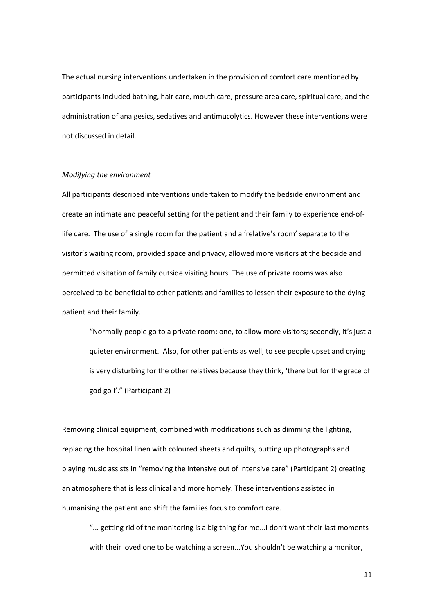The actual nursing interventions undertaken in the provision of comfort care mentioned by participants included bathing, hair care, mouth care, pressure area care, spiritual care, and the administration of analgesics, sedatives and antimucolytics. However these interventions were not discussed in detail.

### *Modifying the environment*

All participants described interventions undertaken to modify the bedside environment and create an intimate and peaceful setting for the patient and their family to experience end-oflife care. The use of a single room for the patient and a 'relative's room' separate to the visitor's waiting room, provided space and privacy, allowed more visitors at the bedside and permitted visitation of family outside visiting hours. The use of private rooms was also perceived to be beneficial to other patients and families to lessen their exposure to the dying patient and their family.

"Normally people go to a private room: one, to allow more visitors; secondly, it's just a quieter environment. Also, for other patients as well, to see people upset and crying is very disturbing for the other relatives because they think, 'there but for the grace of god go I'." (Participant 2)

Removing clinical equipment, combined with modifications such as dimming the lighting, replacing the hospital linen with coloured sheets and quilts, putting up photographs and playing music assists in "removing the intensive out of intensive care" (Participant 2) creating an atmosphere that is less clinical and more homely. These interventions assisted in humanising the patient and shift the families focus to comfort care.

"... getting rid of the monitoring is a big thing for me...I don't want their last moments with their loved one to be watching a screen...You shouldn't be watching a monitor,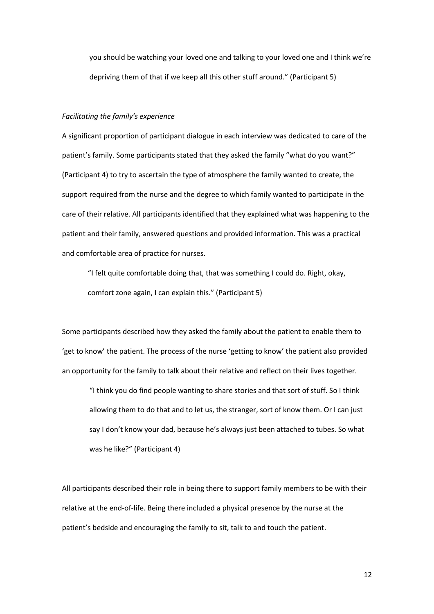you should be watching your loved one and talking to your loved one and I think we're depriving them of that if we keep all this other stuff around." (Participant 5)

### *Facilitating the family's experience*

A significant proportion of participant dialogue in each interview was dedicated to care of the patient's family. Some participants stated that they asked the family "what do you want?" (Participant 4) to try to ascertain the type of atmosphere the family wanted to create, the support required from the nurse and the degree to which family wanted to participate in the care of their relative. All participants identified that they explained what was happening to the patient and their family, answered questions and provided information. This was a practical and comfortable area of practice for nurses.

"I felt quite comfortable doing that, that was something I could do. Right, okay, comfort zone again, I can explain this." (Participant 5)

Some participants described how they asked the family about the patient to enable them to 'get to know' the patient. The process of the nurse 'getting to know' the patient also provided an opportunity for the family to talk about their relative and reflect on their lives together.

"I think you do find people wanting to share stories and that sort of stuff. So I think allowing them to do that and to let us, the stranger, sort of know them. Or I can just say I don't know your dad, because he's always just been attached to tubes. So what was he like?" (Participant 4)

All participants described their role in being there to support family members to be with their relative at the end-of-life. Being there included a physical presence by the nurse at the patient's bedside and encouraging the family to sit, talk to and touch the patient.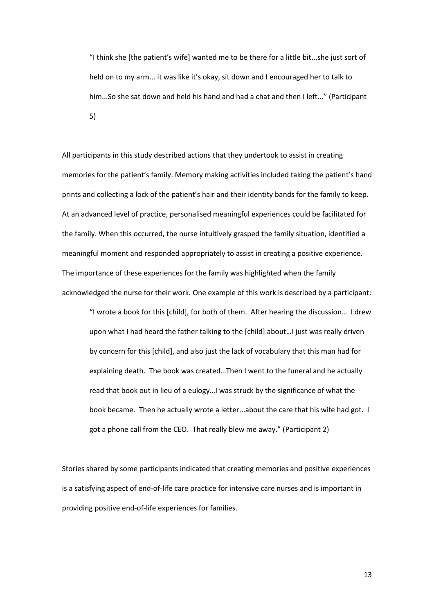"I think she [the patient's wife] wanted me to be there for a little bit...she just sort of held on to my arm... it was like it's okay, sit down and I encouraged her to talk to him...So she sat down and held his hand and had a chat and then I left..." (Participant 5)

All participants in this study described actions that they undertook to assist in creating memories for the patient's family. Memory making activities included taking the patient's hand prints and collecting a lock of the patient's hair and their identity bands for the family to keep. At an advanced level of practice, personalised meaningful experiences could be facilitated for the family. When this occurred, the nurse intuitively grasped the family situation, identified a meaningful moment and responded appropriately to assist in creating a positive experience. The importance of these experiences for the family was highlighted when the family acknowledged the nurse for their work. One example of this work is described by a participant:

"I wrote a book for this [child], for both of them. After hearing the discussion… I drew upon what I had heard the father talking to the [child] about…I just was really driven by concern for this [child], and also just the lack of vocabulary that this man had for explaining death. The book was created…Then I went to the funeral and he actually read that book out in lieu of a eulogy…I was struck by the significance of what the book became. Then he actually wrote a letter...about the care that his wife had got. I got a phone call from the CEO. That really blew me away." (Participant 2)

Stories shared by some participants indicated that creating memories and positive experiences is a satisfying aspect of end-of-life care practice for intensive care nurses and is important in providing positive end-of-life experiences for families.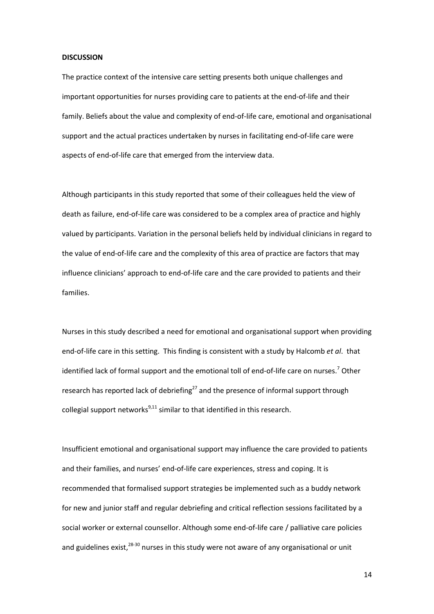#### **DISCUSSION**

The practice context of the intensive care setting presents both unique challenges and important opportunities for nurses providing care to patients at the end-of-life and their family. Beliefs about the value and complexity of end-of-life care, emotional and organisational support and the actual practices undertaken by nurses in facilitating end-of-life care were aspects of end-of-life care that emerged from the interview data.

Although participants in this study reported that some of their colleagues held the view of death as failure, end-of-life care was considered to be a complex area of practice and highly valued by participants. Variation in the personal beliefs held by individual clinicians in regard to the value of end-of-life care and the complexity of this area of practice are factors that may influence clinicians' approach to end-of-life care and the care provided to patients and their families.

Nurses in this study described a need for emotional and organisational support when providing end-of-life care in this setting. This finding is consistent with a study by Halcomb *et al*. that identified lack of formal support and the emotional toll of end-of-life care on nurses.<sup>7</sup> Other research has reported lack of debriefing<sup>27</sup> and the presence of informal support through collegial support networks $^{9,11}$  similar to that identified in this research.

Insufficient emotional and organisational support may influence the care provided to patients and their families, and nurses' end-of-life care experiences, stress and coping. It is recommended that formalised support strategies be implemented such as a buddy network for new and junior staff and regular debriefing and critical reflection sessions facilitated by a social worker or external counsellor. Although some end-of-life care / palliative care policies and guidelines exist,  $28-30$  nurses in this study were not aware of any organisational or unit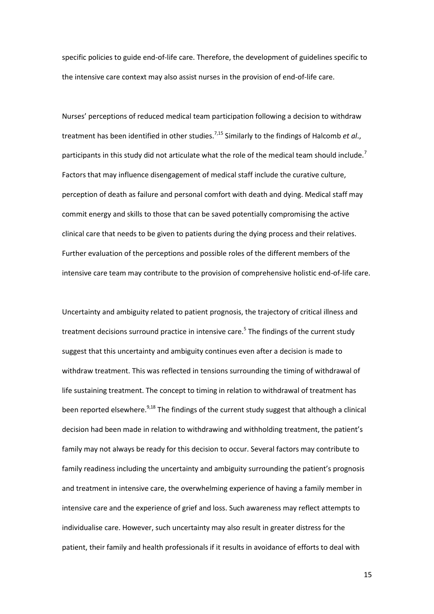specific policies to guide end-of-life care. Therefore, the development of guidelines specific to the intensive care context may also assist nurses in the provision of end-of-life care.

Nurses' perceptions of reduced medical team participation following a decision to withdraw treatment has been identified in other studies.<sup>7,15</sup> Similarly to the findings of Halcomb *et al.*, participants in this study did not articulate what the role of the medical team should include.<sup>7</sup> Factors that may influence disengagement of medical staff include the curative culture, perception of death as failure and personal comfort with death and dying. Medical staff may commit energy and skills to those that can be saved potentially compromising the active clinical care that needs to be given to patients during the dying process and their relatives. Further evaluation of the perceptions and possible roles of the different members of the intensive care team may contribute to the provision of comprehensive holistic end-of-life care.

Uncertainty and ambiguity related to patient prognosis, the trajectory of critical illness and treatment decisions surround practice in intensive care.<sup>5</sup> The findings of the current study suggest that this uncertainty and ambiguity continues even after a decision is made to withdraw treatment. This was reflected in tensions surrounding the timing of withdrawal of life sustaining treatment. The concept to timing in relation to withdrawal of treatment has been reported elsewhere.<sup>9,18</sup> The findings of the current study suggest that although a clinical decision had been made in relation to withdrawing and withholding treatment, the patient's family may not always be ready for this decision to occur. Several factors may contribute to family readiness including the uncertainty and ambiguity surrounding the patient's prognosis and treatment in intensive care, the overwhelming experience of having a family member in intensive care and the experience of grief and loss. Such awareness may reflect attempts to individualise care. However, such uncertainty may also result in greater distress for the patient, their family and health professionals if it results in avoidance of efforts to deal with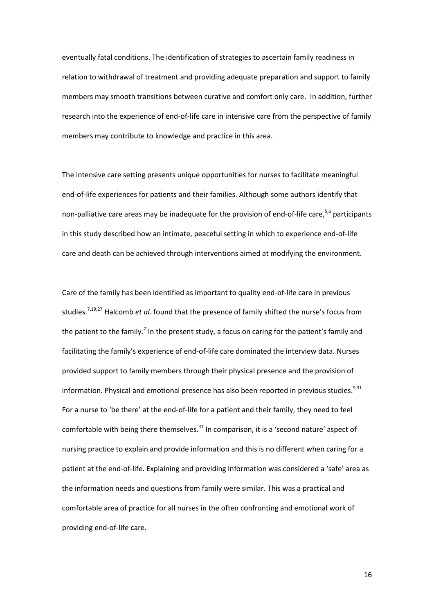eventually fatal conditions. The identification of strategies to ascertain family readiness in relation to withdrawal of treatment and providing adequate preparation and support to family members may smooth transitions between curative and comfort only care. In addition, further research into the experience of end-of-life care in intensive care from the perspective of family members may contribute to knowledge and practice in this area.

The intensive care setting presents unique opportunities for nurses to facilitate meaningful end-of-life experiences for patients and their families. Although some authors identify that non-palliative care areas may be inadequate for the provision of end-of-life care,  $5,6$  participants in this study described how an intimate, peaceful setting in which to experience end-of-life care and death can be achieved through interventions aimed at modifying the environment.

Care of the family has been identified as important to quality end-of-life care in previous studies.7,19,27 Halcomb *et al*. found that the presence of family shifted the nurse's focus from the patient to the family.<sup>7</sup> In the present study, a focus on caring for the patient's family and facilitating the family's experience of end-of-life care dominated the interview data. Nurses provided support to family members through their physical presence and the provision of information. Physical and emotional presence has also been reported in previous studies.<sup>9,31</sup> For a nurse to 'be there' at the end-of-life for a patient and their family, they need to feel comfortable with being there themselves. $31$  In comparison, it is a 'second nature' aspect of nursing practice to explain and provide information and this is no different when caring for a patient at the end-of-life. Explaining and providing information was considered a 'safe' area as the information needs and questions from family were similar. This was a practical and comfortable area of practice for all nurses in the often confronting and emotional work of providing end-of-life care.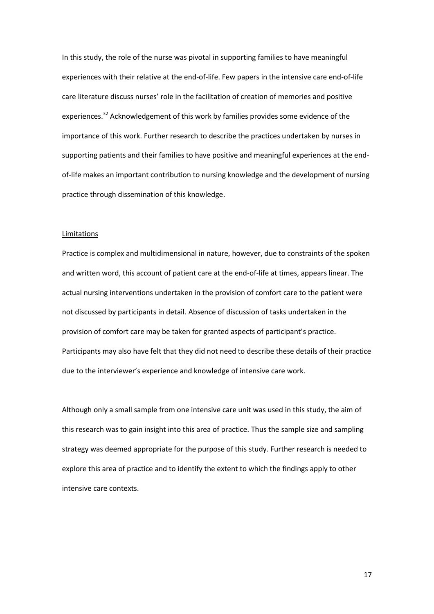In this study, the role of the nurse was pivotal in supporting families to have meaningful experiences with their relative at the end-of-life. Few papers in the intensive care end-of-life care literature discuss nurses' role in the facilitation of creation of memories and positive experiences.<sup>32</sup> Acknowledgement of this work by families provides some evidence of the importance of this work. Further research to describe the practices undertaken by nurses in supporting patients and their families to have positive and meaningful experiences at the endof-life makes an important contribution to nursing knowledge and the development of nursing practice through dissemination of this knowledge.

#### Limitations

Practice is complex and multidimensional in nature, however, due to constraints of the spoken and written word, this account of patient care at the end-of-life at times, appears linear. The actual nursing interventions undertaken in the provision of comfort care to the patient were not discussed by participants in detail. Absence of discussion of tasks undertaken in the provision of comfort care may be taken for granted aspects of participant's practice. Participants may also have felt that they did not need to describe these details of their practice due to the interviewer's experience and knowledge of intensive care work.

Although only a small sample from one intensive care unit was used in this study, the aim of this research was to gain insight into this area of practice. Thus the sample size and sampling strategy was deemed appropriate for the purpose of this study. Further research is needed to explore this area of practice and to identify the extent to which the findings apply to other intensive care contexts.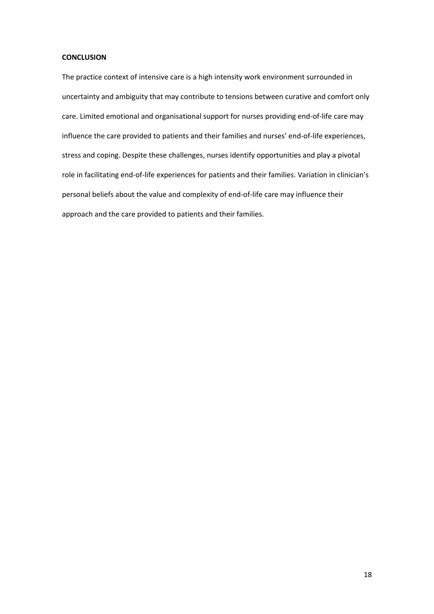# **CONCLUSION**

The practice context of intensive care is a high intensity work environment surrounded in uncertainty and ambiguity that may contribute to tensions between curative and comfort only care. Limited emotional and organisational support for nurses providing end-of-life care may influence the care provided to patients and their families and nurses' end-of-life experiences, stress and coping. Despite these challenges, nurses identify opportunities and play a pivotal role in facilitating end-of-life experiences for patients and their families. Variation in clinician's personal beliefs about the value and complexity of end-of-life care may influence their approach and the care provided to patients and their families.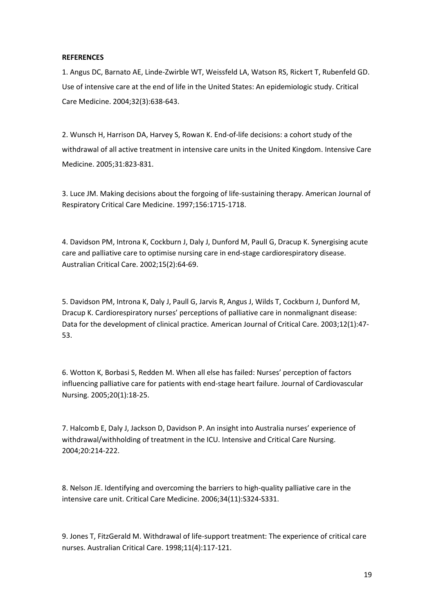# **REFERENCES**

1. Angus DC, Barnato AE, Linde-Zwirble WT, Weissfeld LA, Watson RS, Rickert T, Rubenfeld GD. Use of intensive care at the end of life in the United States: An epidemiologic study. Critical Care Medicine. 2004;32(3):638-643.

2. Wunsch H, Harrison DA, Harvey S, Rowan K. End-of-life decisions: a cohort study of the withdrawal of all active treatment in intensive care units in the United Kingdom. Intensive Care Medicine. 2005;31:823-831.

3. Luce JM. Making decisions about the forgoing of life-sustaining therapy. American Journal of Respiratory Critical Care Medicine. 1997;156:1715-1718.

4. Davidson PM, Introna K, Cockburn J, Daly J, Dunford M, Paull G, Dracup K. Synergising acute care and palliative care to optimise nursing care in end-stage cardiorespiratory disease. Australian Critical Care. 2002;15(2):64-69.

5. Davidson PM, Introna K, Daly J, Paull G, Jarvis R, Angus J, Wilds T, Cockburn J, Dunford M, Dracup K. Cardiorespiratory nurses' perceptions of palliative care in nonmalignant disease: Data for the development of clinical practice. American Journal of Critical Care. 2003;12(1):47- 53.

6. Wotton K, Borbasi S, Redden M. When all else has failed: Nurses' perception of factors influencing palliative care for patients with end-stage heart failure. Journal of Cardiovascular Nursing. 2005;20(1):18-25.

7. Halcomb E, Daly J, Jackson D, Davidson P. An insight into Australia nurses' experience of withdrawal/withholding of treatment in the ICU. Intensive and Critical Care Nursing. 2004;20:214-222.

8. Nelson JE. Identifying and overcoming the barriers to high-quality palliative care in the intensive care unit. Critical Care Medicine. 2006;34(11):S324-S331.

9. Jones T, FitzGerald M. Withdrawal of life-support treatment: The experience of critical care nurses. Australian Critical Care. 1998;11(4):117-121.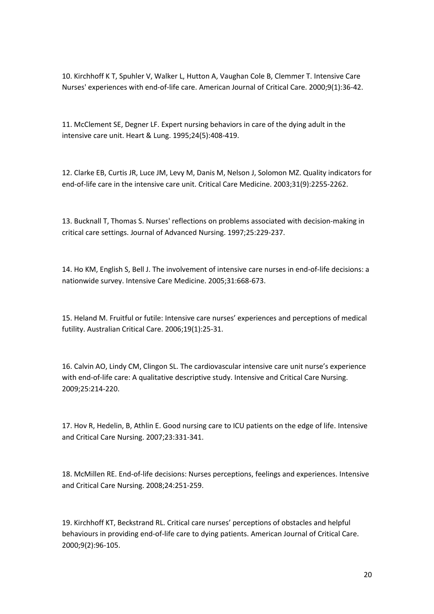10. Kirchhoff K T, Spuhler V, Walker L, Hutton A, Vaughan Cole B, Clemmer T. Intensive Care Nurses' experiences with end-of-life care. American Journal of Critical Care. 2000;9(1):36-42.

11. McClement SE, Degner LF. Expert nursing behaviors in care of the dying adult in the intensive care unit. Heart & Lung. 1995;24(5):408-419.

12. Clarke EB, Curtis JR, Luce JM, Levy M, Danis M, Nelson J, Solomon MZ. Quality indicators for end-of-life care in the intensive care unit. Critical Care Medicine. 2003;31(9):2255-2262.

13. Bucknall T, Thomas S. Nurses' reflections on problems associated with decision-making in critical care settings. Journal of Advanced Nursing. 1997;25:229-237.

14. Ho KM, English S, Bell J. The involvement of intensive care nurses in end-of-life decisions: a nationwide survey. Intensive Care Medicine. 2005;31:668-673.

15. Heland M. Fruitful or futile: Intensive care nurses' experiences and perceptions of medical futility. Australian Critical Care. 2006;19(1):25-31.

16. Calvin AO, Lindy CM, Clingon SL. The cardiovascular intensive care unit nurse's experience with end-of-life care: A qualitative descriptive study. Intensive and Critical Care Nursing. 2009;25:214-220.

17. Hov R, Hedelin, B, Athlin E. Good nursing care to ICU patients on the edge of life. Intensive and Critical Care Nursing. 2007;23:331-341.

18. McMillen RE. End-of-life decisions: Nurses perceptions, feelings and experiences. Intensive and Critical Care Nursing. 2008;24:251-259.

19. Kirchhoff KT, Beckstrand RL. Critical care nurses' perceptions of obstacles and helpful behaviours in providing end-of-life care to dying patients. American Journal of Critical Care. 2000;9(2):96-105.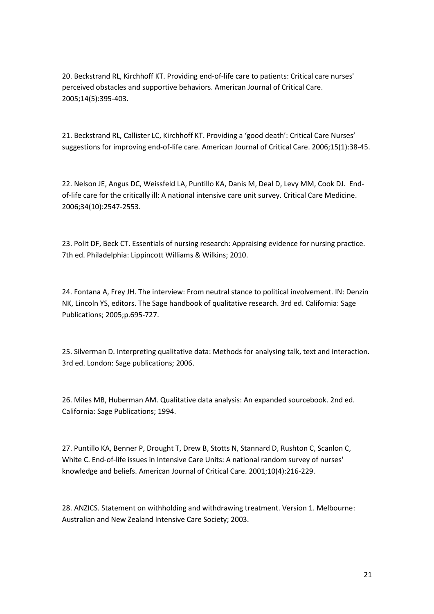20. Beckstrand RL, Kirchhoff KT. Providing end-of-life care to patients: Critical care nurses' perceived obstacles and supportive behaviors. American Journal of Critical Care. 2005;14(5):395-403.

21. Beckstrand RL, Callister LC, Kirchhoff KT. Providing a 'good death': Critical Care Nurses' suggestions for improving end-of-life care. American Journal of Critical Care. 2006;15(1):38-45.

22. Nelson JE, Angus DC, Weissfeld LA, Puntillo KA, Danis M, Deal D, Levy MM, Cook DJ. Endof-life care for the critically ill: A national intensive care unit survey. Critical Care Medicine. 2006;34(10):2547-2553.

23. Polit DF, Beck CT. Essentials of nursing research: Appraising evidence for nursing practice. 7th ed. Philadelphia: Lippincott Williams & Wilkins; 2010.

24. Fontana A, Frey JH. The interview: From neutral stance to political involvement. IN: Denzin NK, Lincoln YS, editors. The Sage handbook of qualitative research. 3rd ed. California: Sage Publications; 2005;p.695-727.

25. Silverman D. Interpreting qualitative data: Methods for analysing talk, text and interaction. 3rd ed. London: Sage publications; 2006.

26. Miles MB, Huberman AM. Qualitative data analysis: An expanded sourcebook. 2nd ed. California: Sage Publications; 1994.

27. Puntillo KA, Benner P, Drought T, Drew B, Stotts N, Stannard D, Rushton C, Scanlon C, White C. End-of-life issues in Intensive Care Units: A national random survey of nurses' knowledge and beliefs. American Journal of Critical Care. 2001;10(4):216-229.

28. ANZICS. Statement on withholding and withdrawing treatment. Version 1. Melbourne: Australian and New Zealand Intensive Care Society; 2003.